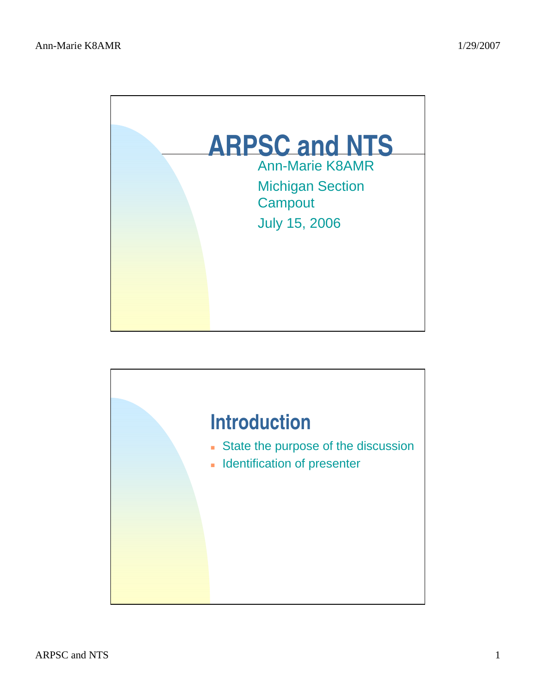

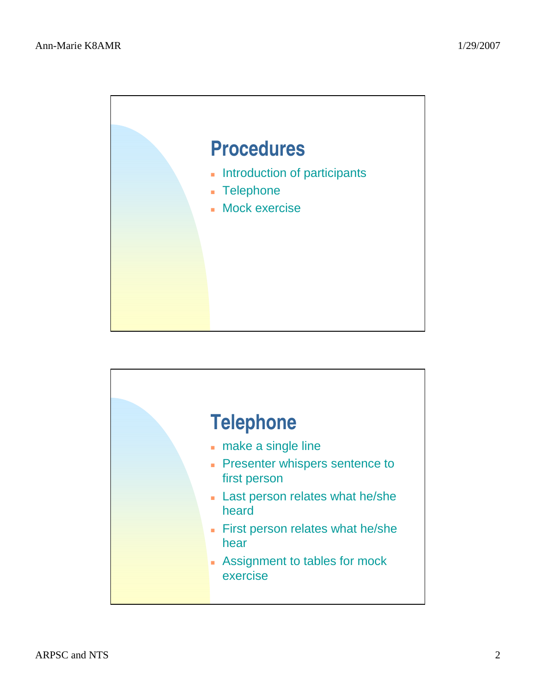

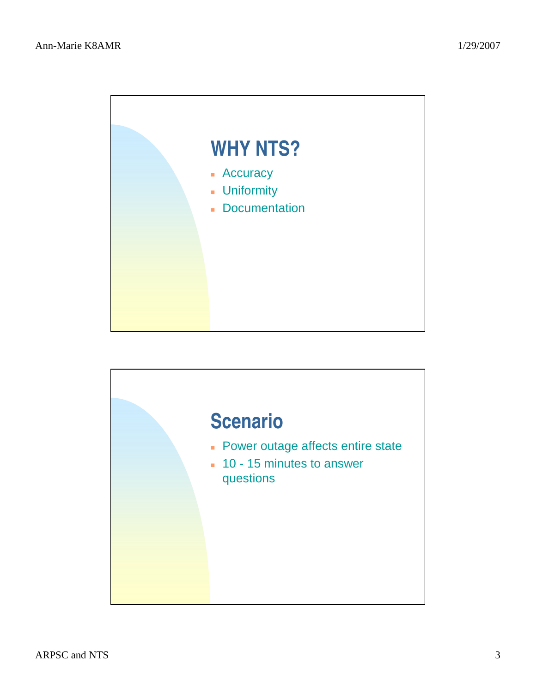

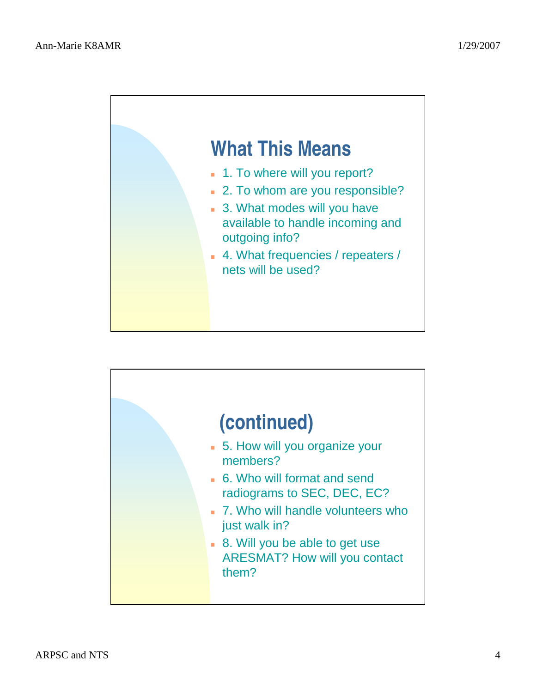

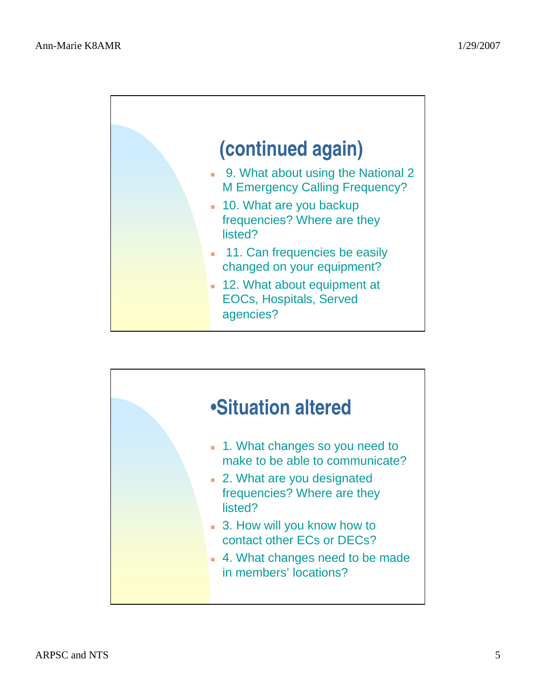

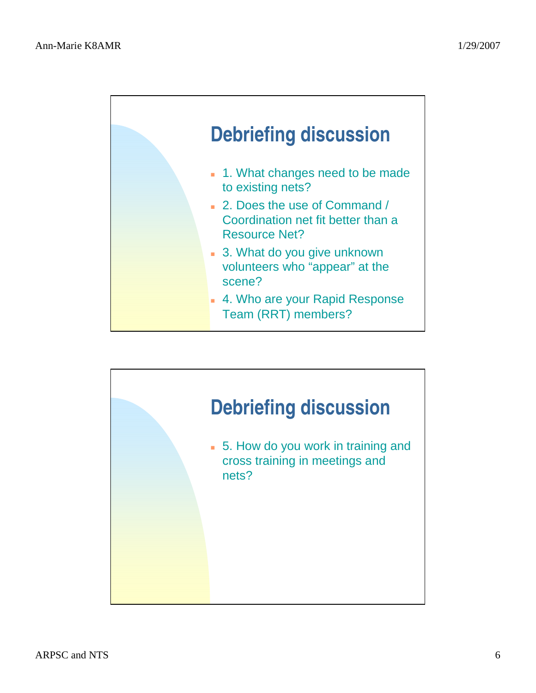